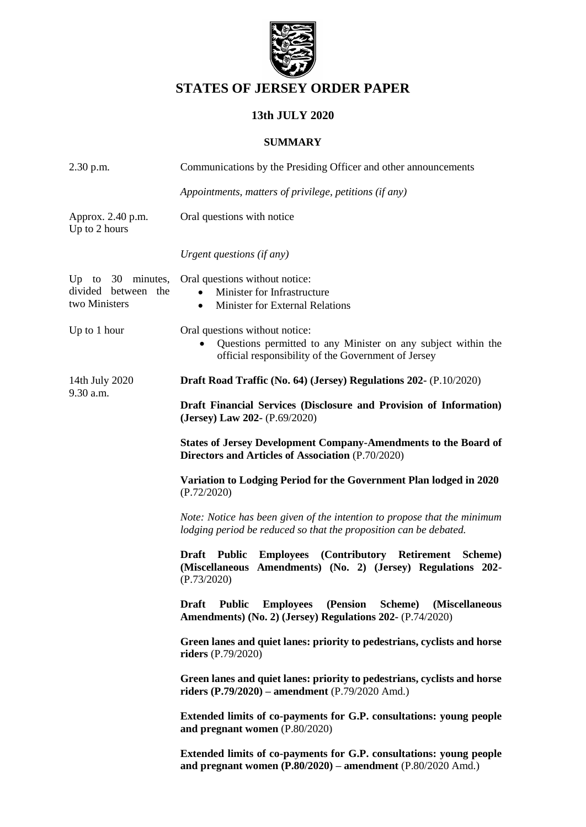

# **STATES OF JERSEY ORDER PAPER**

# **13th JULY 2020**

### **SUMMARY**

| 2.30 p.m.                                                   | Communications by the Presiding Officer and other announcements                                                                                         |  |  |  |  |  |  |  |
|-------------------------------------------------------------|---------------------------------------------------------------------------------------------------------------------------------------------------------|--|--|--|--|--|--|--|
|                                                             | Appointments, matters of privilege, petitions (if any)                                                                                                  |  |  |  |  |  |  |  |
| Approx. 2.40 p.m.<br>Up to 2 hours                          | Oral questions with notice                                                                                                                              |  |  |  |  |  |  |  |
|                                                             | Urgent questions (if any)                                                                                                                               |  |  |  |  |  |  |  |
| Up to $30$ minutes,<br>divided between the<br>two Ministers | Oral questions without notice:<br>Minister for Infrastructure<br>$\bullet$<br><b>Minister for External Relations</b><br>$\bullet$                       |  |  |  |  |  |  |  |
| Up to 1 hour                                                | Oral questions without notice:<br>Questions permitted to any Minister on any subject within the<br>official responsibility of the Government of Jersey  |  |  |  |  |  |  |  |
| 14th July 2020<br>9.30 a.m.                                 | Draft Road Traffic (No. 64) (Jersey) Regulations 202- (P.10/2020)                                                                                       |  |  |  |  |  |  |  |
|                                                             | Draft Financial Services (Disclosure and Provision of Information)<br>(Jersey) Law 202- (P.69/2020)                                                     |  |  |  |  |  |  |  |
|                                                             | <b>States of Jersey Development Company-Amendments to the Board of</b><br>Directors and Articles of Association (P.70/2020)                             |  |  |  |  |  |  |  |
|                                                             | Variation to Lodging Period for the Government Plan lodged in 2020<br>(P.72/2020)                                                                       |  |  |  |  |  |  |  |
|                                                             | Note: Notice has been given of the intention to propose that the minimum<br>lodging period be reduced so that the proposition can be debated.           |  |  |  |  |  |  |  |
|                                                             | Draft Public<br><b>Employees</b> (Contributory Retirement<br>Scheme)<br>(Miscellaneous Amendments) (No. 2) (Jersey) Regulations 202-<br>(P.73/2020)     |  |  |  |  |  |  |  |
|                                                             | <b>Draft</b><br><b>Public</b><br><b>Employees</b><br>(Pension<br>Scheme)<br>(Miscellaneous<br>Amendments) (No. 2) (Jersey) Regulations 202- (P.74/2020) |  |  |  |  |  |  |  |
|                                                             | Green lanes and quiet lanes: priority to pedestrians, cyclists and horse<br>riders $(P.79/2020)$                                                        |  |  |  |  |  |  |  |
|                                                             | Green lanes and quiet lanes: priority to pedestrians, cyclists and horse<br>riders $(P.79/2020)$ – amendment $(P.79/2020$ Amd.)                         |  |  |  |  |  |  |  |
|                                                             | Extended limits of co-payments for G.P. consultations: young people<br>and pregnant women (P.80/2020)                                                   |  |  |  |  |  |  |  |
|                                                             | Extended limits of co-payments for G.P. consultations: young people<br>and pregnant women (P.80/2020) - amendment (P.80/2020 Amd.)                      |  |  |  |  |  |  |  |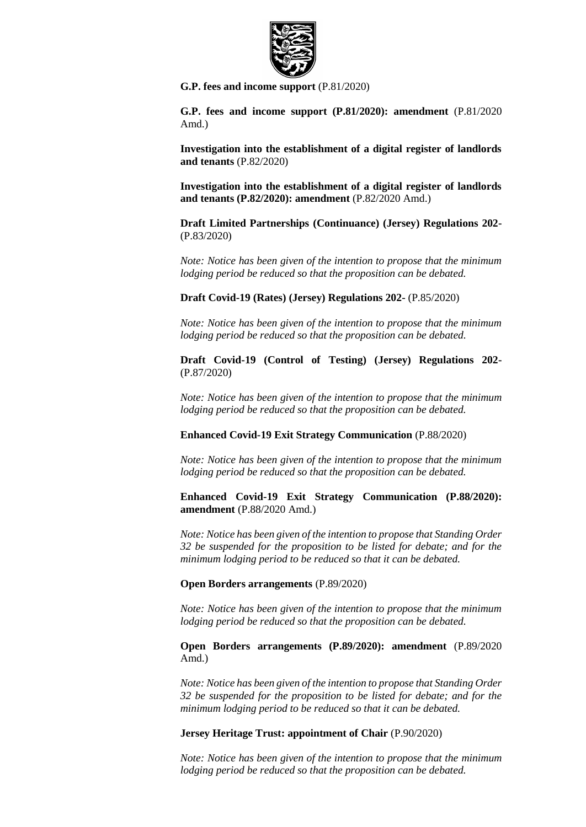

**[G.P. fees and income support](https://statesassembly.gov.je/AssemblyPropositions/2020/P.81-2020.pdf)** (P.81/2020)

**[G.P. fees and income support \(P.81/2020\): amendment](https://statesassembly.gov.je/AssemblyPropositions/2020/P.81-2020Amd.pdf)** (P.81/2020 [Amd.\)](https://statesassembly.gov.je/AssemblyPropositions/2020/P.81-2020Amd.pdf)

**[Investigation into the establishment of a digital register of landlords](https://statesassembly.gov.je/AssemblyPropositions/2020/P.82-2020.pdf)  [and tenants](https://statesassembly.gov.je/AssemblyPropositions/2020/P.82-2020.pdf)** (P.82/2020)

**[Investigation into the establishment of a digital register of landlords](https://statesassembly.gov.je/AssemblyPropositions/2020/P.82-2020Amd.pdf)  [and tenants \(P.82/2020\): amendment](https://statesassembly.gov.je/AssemblyPropositions/2020/P.82-2020Amd.pdf)** (P.82/2020 Amd.)

**[Draft Limited Partnerships \(Continuance\) \(Jersey\) Regulations 202-](https://statesassembly.gov.je/AssemblyPropositions/2020/P.83-2020.pdf)** [\(P.83/2020\)](https://statesassembly.gov.je/AssemblyPropositions/2020/P.83-2020.pdf)

*Note: Notice has been given of the intention to propose that the minimum lodging period be reduced so that the proposition can be debated.*

**[Draft Covid-19 \(Rates\) \(Jersey\) Regulations 202-](https://statesassembly.gov.je/AssemblyPropositions/2020/P.85-2020.pdf)** (P.85/2020)

*Note: Notice has been given of the intention to propose that the minimum lodging period be reduced so that the proposition can be debated.*

**[Draft Covid-19 \(Control of Testing\) \(Jersey\) Regulations 202-](https://statesassembly.gov.je/AssemblyPropositions/2020/P.87-2020.pdf)** [\(P.87/2020\)](https://statesassembly.gov.je/AssemblyPropositions/2020/P.87-2020.pdf)

*Note: Notice has been given of the intention to propose that the minimum lodging period be reduced so that the proposition can be debated.*

**[Enhanced Covid-19 Exit Strategy Communication](https://statesassembly.gov.je/AssemblyPropositions/2020/P.88-2020.pdf)** (P.88/2020)

*Note: Notice has been given of the intention to propose that the minimum lodging period be reduced so that the proposition can be debated.*

**[Enhanced Covid-19 Exit Strategy Communication \(P.88/2020\):](https://statesassembly.gov.je/AssemblyPropositions/2020/P.88-2020Amd.pdf)  amendment** [\(P.88/2020 Amd.\)](https://statesassembly.gov.je/AssemblyPropositions/2020/P.88-2020Amd.pdf)

*Note: Notice has been given of the intention to propose that Standing Order 32 be suspended for the proposition to be listed for debate; and for the minimum lodging period to be reduced so that it can be debated.*

**[Open Borders arrangements](https://statesassembly.gov.je/AssemblyPropositions/2020/P.89-2020.pdf)** (P.89/2020)

*Note: Notice has been given of the intention to propose that the minimum lodging period be reduced so that the proposition can be debated.*

**[Open Borders arrangements \(P.89/2020\): amendment](https://statesassembly.gov.je/AssemblyPropositions/2020/P.89-2020Amd.pdf)** (P.89/2020 [Amd.\)](https://statesassembly.gov.je/AssemblyPropositions/2020/P.89-2020Amd.pdf)

*Note: Notice has been given of the intention to propose that Standing Order 32 be suspended for the proposition to be listed for debate; and for the minimum lodging period to be reduced so that it can be debated.*

#### **Jersey Heritage Trust: appointment of Chair** (P.90/2020)

*Note: Notice has been given of the intention to propose that the minimum lodging period be reduced so that the proposition can be debated.*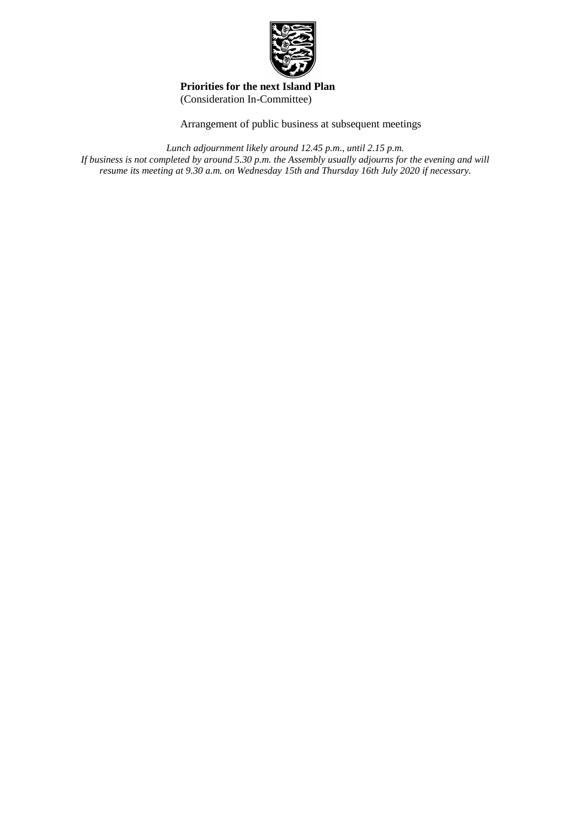

#### **Priorities for the next Island Plan** (Consideration In-Committee)

Arrangement of public business at subsequent meetings

*Lunch adjournment likely around 12.45 p.m., until 2.15 p.m.* 

*If business is not completed by around 5.30 p.m. the Assembly usually adjourns for the evening and will resume its meeting at 9.30 a.m. on Wednesday 15th and Thursday 16th July 2020 if necessary.*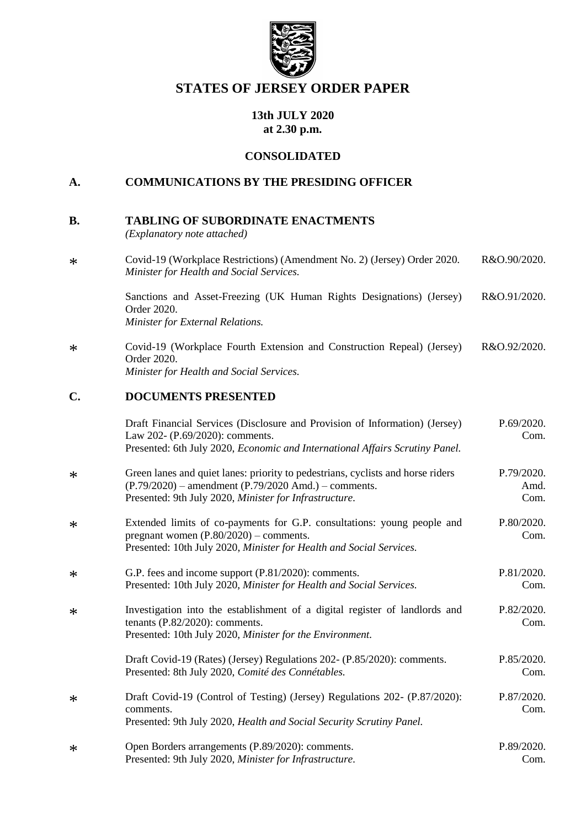

# **STATES OF JERSEY ORDER PAPER**

### **13th JULY 2020 at 2.30 p.m.**

### **CONSOLIDATED**

## **A. COMMUNICATIONS BY THE PRESIDING OFFICER**

| В. | <b>TABLING OF SUBORDINATE ENACTMENTS</b> |
|----|------------------------------------------|
|    |                                          |

*(Explanatory note attached)*

| $\ast$ | Covid-19 (Workplace Restrictions) (Amendment No. 2) (Jersey) Order 2020.<br>Minister for Health and Social Services.              | R&O.90/2020. |
|--------|-----------------------------------------------------------------------------------------------------------------------------------|--------------|
|        | Sanctions and Asset-Freezing (UK Human Rights Designations) (Jersey)<br>Order 2020.<br>Minister for External Relations.           | R&O.91/2020. |
| $\ast$ | Covid-19 (Workplace Fourth Extension and Construction Repeal) (Jersey)<br>Order 2020.<br>Minister for Health and Social Services. | R&O.92/2020. |

### **C. DOCUMENTS PRESENTED**

|        | Draft Financial Services (Disclosure and Provision of Information) (Jersey)<br>Law 202- (P.69/2020): comments.<br>Presented: 6th July 2020, Economic and International Affairs Scrutiny Panel.        | P.69/2020.<br>Com.         |
|--------|-------------------------------------------------------------------------------------------------------------------------------------------------------------------------------------------------------|----------------------------|
| $\ast$ | Green lanes and quiet lanes: priority to pedestrians, cyclists and horse riders<br>$(P.79/2020)$ – amendment $(P.79/2020$ Amd.) – comments.<br>Presented: 9th July 2020, Minister for Infrastructure. | P.79/2020.<br>Amd.<br>Com. |
| $\ast$ | Extended limits of co-payments for G.P. consultations: young people and<br>pregnant women $(P.80/2020)$ – comments.<br>Presented: 10th July 2020, Minister for Health and Social Services.            | P.80/2020.<br>Com.         |
| $\ast$ | G.P. fees and income support (P.81/2020): comments.<br>Presented: 10th July 2020, Minister for Health and Social Services.                                                                            | P.81/2020.<br>Com.         |
| $\ast$ | Investigation into the establishment of a digital register of landlords and<br>tenants $(P.82/2020)$ : comments.<br>Presented: 10th July 2020, Minister for the Environment.                          | P.82/2020.<br>Com.         |
|        | Draft Covid-19 (Rates) (Jersey) Regulations 202- (P.85/2020): comments.<br>Presented: 8th July 2020, Comité des Connétables.                                                                          | P.85/2020.<br>Com.         |
| $\ast$ | Draft Covid-19 (Control of Testing) (Jersey) Regulations 202- (P.87/2020):<br>comments.<br>Presented: 9th July 2020, Health and Social Security Scrutiny Panel.                                       | P.87/2020.<br>Com.         |
| $\ast$ | Open Borders arrangements (P.89/2020): comments.<br>Presented: 9th July 2020, Minister for Infrastructure.                                                                                            | P.89/2020.<br>Com.         |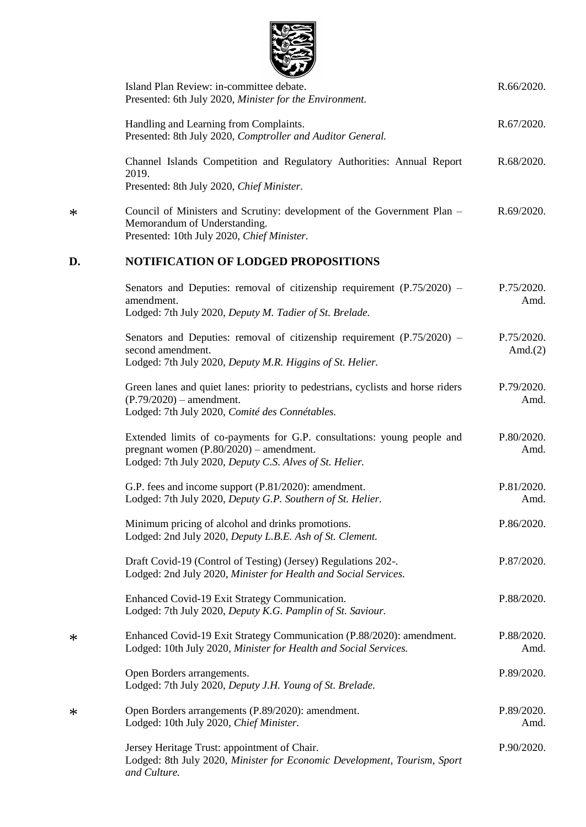

|        | Island Plan Review: in-committee debate.<br>Presented: 6th July 2020, Minister for the Environment.                                                                             | R.66/2020.               |
|--------|---------------------------------------------------------------------------------------------------------------------------------------------------------------------------------|--------------------------|
|        | Handling and Learning from Complaints.<br>Presented: 8th July 2020, Comptroller and Auditor General.                                                                            | R.67/2020.               |
|        | Channel Islands Competition and Regulatory Authorities: Annual Report<br>2019.<br>Presented: 8th July 2020, Chief Minister.                                                     | R.68/2020.               |
| $\ast$ | Council of Ministers and Scrutiny: development of the Government Plan -<br>Memorandum of Understanding.<br>Presented: 10th July 2020, Chief Minister.                           | R.69/2020.               |
| D.     | <b>NOTIFICATION OF LODGED PROPOSITIONS</b>                                                                                                                                      |                          |
|        | Senators and Deputies: removal of citizenship requirement $(P.75/2020)$ –<br>amendment.<br>Lodged: 7th July 2020, Deputy M. Tadier of St. Brelade.                              | P.75/2020.<br>Amd.       |
|        | Senators and Deputies: removal of citizenship requirement (P.75/2020) -<br>second amendment.<br>Lodged: 7th July 2020, Deputy M.R. Higgins of St. Helier.                       | P.75/2020.<br>Amd. $(2)$ |
|        | Green lanes and quiet lanes: priority to pedestrians, cyclists and horse riders<br>$(P.79/2020)$ – amendment.<br>Lodged: 7th July 2020, Comité des Connétables.                 | P.79/2020.<br>Amd.       |
|        | Extended limits of co-payments for G.P. consultations: young people and<br>pregnant women $(P.80/2020)$ – amendment.<br>Lodged: 7th July 2020, Deputy C.S. Alves of St. Helier. | P.80/2020.<br>Amd.       |
|        | G.P. fees and income support (P.81/2020): amendment.<br>Lodged: 7th July 2020, Deputy G.P. Southern of St. Helier.                                                              | P.81/2020.<br>Amd.       |
|        | Minimum pricing of alcohol and drinks promotions.<br>Lodged: 2nd July 2020, Deputy L.B.E. Ash of St. Clement.                                                                   | P.86/2020.               |
|        | Draft Covid-19 (Control of Testing) (Jersey) Regulations 202-.<br>Lodged: 2nd July 2020, Minister for Health and Social Services.                                               | P.87/2020.               |
|        | Enhanced Covid-19 Exit Strategy Communication.<br>Lodged: 7th July 2020, Deputy K.G. Pamplin of St. Saviour.                                                                    | P.88/2020.               |
| $\ast$ | Enhanced Covid-19 Exit Strategy Communication (P.88/2020): amendment.<br>Lodged: 10th July 2020, Minister for Health and Social Services.                                       | P.88/2020.<br>Amd.       |
|        | Open Borders arrangements.<br>Lodged: 7th July 2020, Deputy J.H. Young of St. Brelade.                                                                                          | P.89/2020.               |
| $\ast$ | Open Borders arrangements (P.89/2020): amendment.<br>Lodged: 10th July 2020, Chief Minister.                                                                                    | P.89/2020.<br>Amd.       |
|        | Jersey Heritage Trust: appointment of Chair.<br>Lodged: 8th July 2020, Minister for Economic Development, Tourism, Sport<br>and Culture.                                        | P.90/2020.               |

\*

\*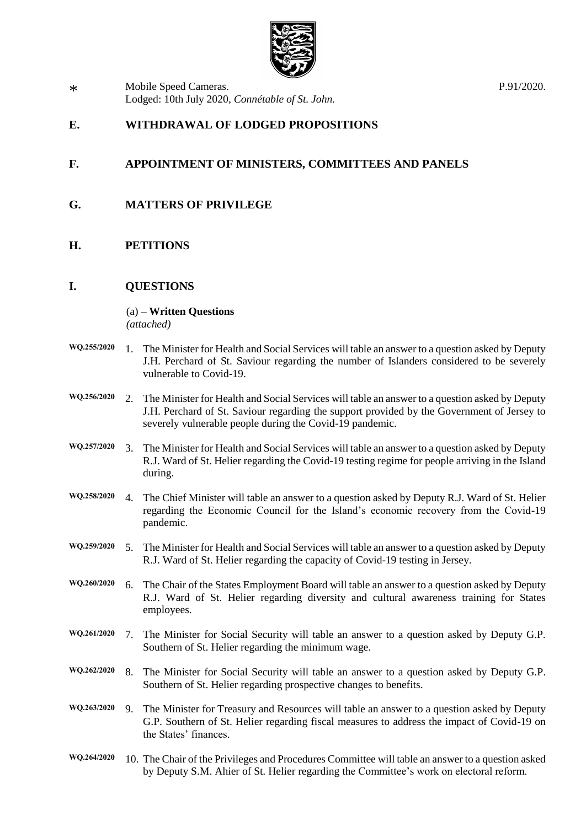

\* [Mobile Speed Cameras.](https://statesassembly.gov.je/AssemblyPropositions/2020/P.91-2020.pdf) [Lodged: 10th July 2020,](https://statesassembly.gov.je/AssemblyPropositions/2020/P.91-2020.pdf) *Connétable of St. John.* [P.91/2020.](https://statesassembly.gov.je/AssemblyPropositions/2020/P.91-2020.pdf)

### **E. WITHDRAWAL OF LODGED PROPOSITIONS**

### **F. APPOINTMENT OF MINISTERS, COMMITTEES AND PANELS**

- **G. MATTERS OF PRIVILEGE**
- **H. PETITIONS**

### **I. QUESTIONS**

(a) – **Written Questions** *(attached)*

- **WQ.255/2020** 1. The Minister for Health and Social Services will table an answer to a question asked by Deputy J.H. Perchard of St. Saviour regarding the number of Islanders considered to be severely vulnerable to Covid-19.
- **WQ.256/2020** 2. The Minister for Health and Social Services will table an answer to a question asked by Deputy J.H. Perchard of St. Saviour regarding the support provided by the Government of Jersey to severely vulnerable people during the Covid-19 pandemic.
- **WQ.257/2020** 3. The Minister for Health and Social Services will table an answer to a question asked by Deputy R.J. Ward of St. Helier regarding the Covid-19 testing regime for people arriving in the Island during.
- **WQ.258/2020** 4. The Chief Minister will table an answer to a question asked by Deputy R.J. Ward of St. Helier regarding the Economic Council for the Island's economic recovery from the Covid-19 pandemic.
- **WQ.259/2020** 5. The Minister for Health and Social Services will table an answer to a question asked by Deputy R.J. Ward of St. Helier regarding the capacity of Covid-19 testing in Jersey.
- **WQ.260/2020** 6. The Chair of the States Employment Board will table an answer to a question asked by Deputy R.J. Ward of St. Helier regarding diversity and cultural awareness training for States employees.
- **WQ.261/2020** 7. The Minister for Social Security will table an answer to a question asked by Deputy G.P. Southern of St. Helier regarding the minimum wage.
- **WQ.262/2020** 8. The Minister for Social Security will table an answer to a question asked by Deputy G.P. Southern of St. Helier regarding prospective changes to benefits.
- **WQ.263/2020** 9. The Minister for Treasury and Resources will table an answer to a question asked by Deputy G.P. Southern of St. Helier regarding fiscal measures to address the impact of Covid-19 on the States' finances.
- **WQ.264/2020** 10. The Chair of the Privileges and Procedures Committee will table an answer to a question asked by Deputy S.M. Ahier of St. Helier regarding the Committee's work on electoral reform.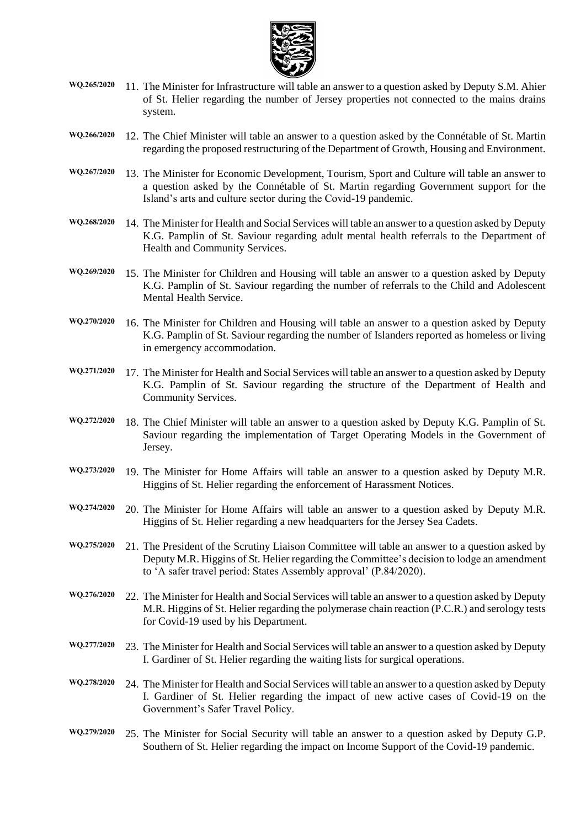

- **WQ.265/2020** 11. The Minister for Infrastructure will table an answer to a question asked by Deputy S.M. Ahier of St. Helier regarding the number of Jersey properties not connected to the mains drains system.
- **WQ.266/2020** 12. The Chief Minister will table an answer to a question asked by the Connétable of St. Martin regarding the proposed restructuring of the Department of Growth, Housing and Environment.
- **WQ.267/2020** 13. The Minister for Economic Development, Tourism, Sport and Culture will table an answer to a question asked by the Connétable of St. Martin regarding Government support for the Island's arts and culture sector during the Covid-19 pandemic.
- **WQ.268/2020** 14. The Minister for Health and Social Services will table an answer to a question asked by Deputy K.G. Pamplin of St. Saviour regarding adult mental health referrals to the Department of Health and Community Services.
- **WQ.269/2020** 15. The Minister for Children and Housing will table an answer to a question asked by Deputy K.G. Pamplin of St. Saviour regarding the number of referrals to the Child and Adolescent Mental Health Service.
- **WQ.270/2020** 16. The Minister for Children and Housing will table an answer to a question asked by Deputy K.G. Pamplin of St. Saviour regarding the number of Islanders reported as homeless or living in emergency accommodation.
- **WQ.271/2020** 17. The Minister for Health and Social Services will table an answer to a question asked by Deputy K.G. Pamplin of St. Saviour regarding the structure of the Department of Health and Community Services.
- **WQ.272/2020** 18. The Chief Minister will table an answer to a question asked by Deputy K.G. Pamplin of St. Saviour regarding the implementation of Target Operating Models in the Government of Jersey.
- **WQ.273/2020** 19. The Minister for Home Affairs will table an answer to a question asked by Deputy M.R. Higgins of St. Helier regarding the enforcement of Harassment Notices.
- **WQ.274/2020** 20. The Minister for Home Affairs will table an answer to a question asked by Deputy M.R. Higgins of St. Helier regarding a new headquarters for the Jersey Sea Cadets.
- **WQ.275/2020** 21. The President of the Scrutiny Liaison Committee will table an answer to a question asked by Deputy M.R. Higgins of St. Helier regarding the Committee's decision to lodge an amendment to 'A safer travel period: States Assembly approval' (P.84/2020).
- **WQ.276/2020** 22. The Minister for Health and Social Services will table an answer to a question asked by Deputy M.R. Higgins of St. Helier regarding the polymerase chain reaction (P.C.R.) and serology tests for Covid-19 used by his Department.
- **WQ.277/2020** 23. The Minister for Health and Social Services will table an answer to a question asked by Deputy I. Gardiner of St. Helier regarding the waiting lists for surgical operations.
- **WQ.278/2020** 24. The Minister for Health and Social Services will table an answer to a question asked by Deputy I. Gardiner of St. Helier regarding the impact of new active cases of Covid-19 on the Government's Safer Travel Policy.
- **WQ.279/2020** 25. The Minister for Social Security will table an answer to a question asked by Deputy G.P. Southern of St. Helier regarding the impact on Income Support of the Covid-19 pandemic.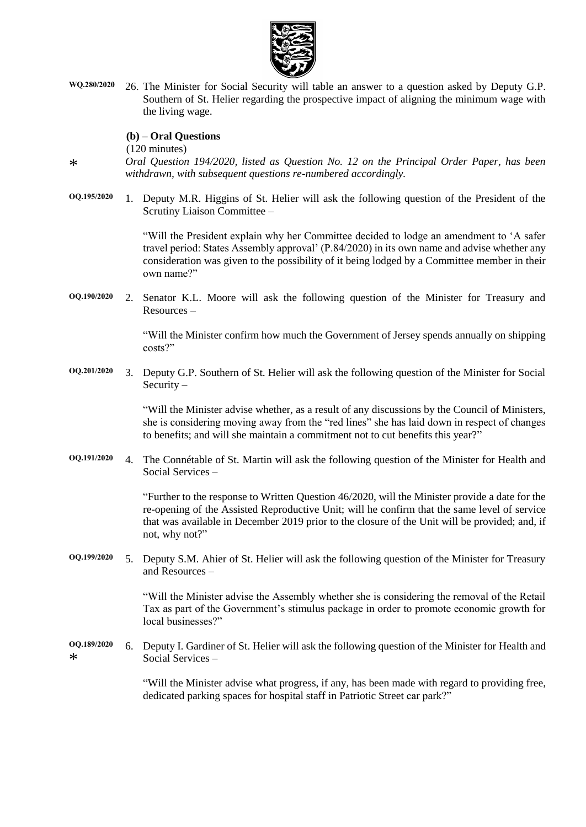

**WQ.280/2020** 26. The Minister for Social Security will table an answer to a question asked by Deputy G.P. Southern of St. Helier regarding the prospective impact of aligning the minimum wage with the living wage.

#### **(b) – Oral Questions**

(120 minutes)

*Oral Question 194/2020, listed as Question No. 12 on the Principal Order Paper, has been withdrawn, with subsequent questions re-numbered accordingly.*

**OQ.195/2020** 1. Deputy M.R. Higgins of St. Helier will ask the following question of the President of the Scrutiny Liaison Committee –

> "Will the President explain why her Committee decided to lodge an amendment to 'A safer travel period: States Assembly approval' (P.84/2020) in its own name and advise whether any consideration was given to the possibility of it being lodged by a Committee member in their own name?"

**OQ.190/2020** 2. Senator K.L. Moore will ask the following question of the Minister for Treasury and Resources –

> "Will the Minister confirm how much the Government of Jersey spends annually on shipping costs?"

**OQ.201/2020** 3. Deputy G.P. Southern of St. Helier will ask the following question of the Minister for Social Security –

> "Will the Minister advise whether, as a result of any discussions by the Council of Ministers, she is considering moving away from the "red lines" she has laid down in respect of changes to benefits; and will she maintain a commitment not to cut benefits this year?"

**OQ.191/2020** 4. The Connétable of St. Martin will ask the following question of the Minister for Health and Social Services –

> "Further to the response to Written Question 46/2020, will the Minister provide a date for the re-opening of the Assisted Reproductive Unit; will he confirm that the same level of service that was available in December 2019 prior to the closure of the Unit will be provided; and, if not, why not?"

**OQ.199/2020** 5. Deputy S.M. Ahier of St. Helier will ask the following question of the Minister for Treasury and Resources –

> "Will the Minister advise the Assembly whether she is considering the removal of the Retail Tax as part of the Government's stimulus package in order to promote economic growth for local businesses?"

**OQ.189/2020** \* 6. Deputy I. Gardiner of St. Helier will ask the following question of the Minister for Health and Social Services –

> "Will the Minister advise what progress, if any, has been made with regard to providing free, dedicated parking spaces for hospital staff in Patriotic Street car park?"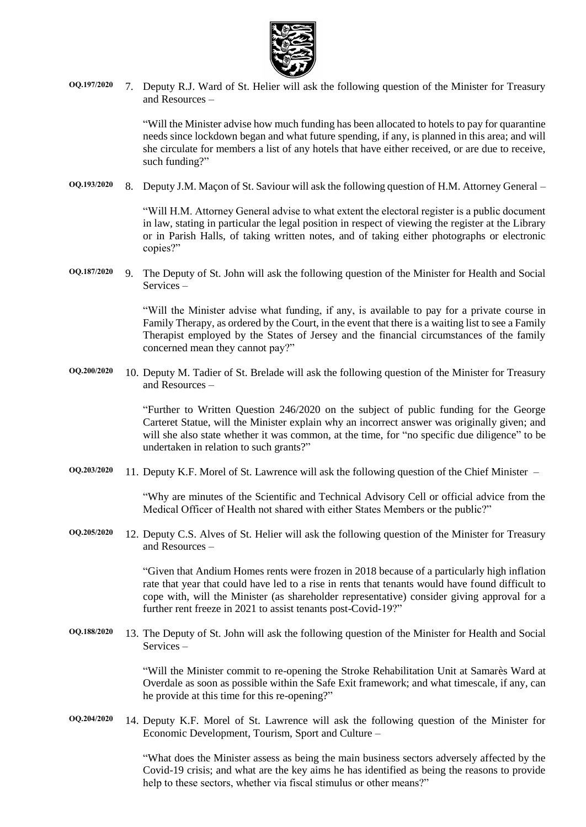

**OQ.197/2020** 7. Deputy R.J. Ward of St. Helier will ask the following question of the Minister for Treasury and Resources –

> "Will the Minister advise how much funding has been allocated to hotels to pay for quarantine needs since lockdown began and what future spending, if any, is planned in this area; and will she circulate for members a list of any hotels that have either received, or are due to receive, such funding?"

**OQ.193/2020** 8. Deputy J.M. Maçon of St. Saviour will ask the following question of H.M. Attorney General –

"Will H.M. Attorney General advise to what extent the electoral register is a public document in law, stating in particular the legal position in respect of viewing the register at the Library or in Parish Halls, of taking written notes, and of taking either photographs or electronic copies?"

**OQ.187/2020** 9. The Deputy of St. John will ask the following question of the Minister for Health and Social Services –

> "Will the Minister advise what funding, if any, is available to pay for a private course in Family Therapy, as ordered by the Court, in the event that there is a waiting list to see a Family Therapist employed by the States of Jersey and the financial circumstances of the family concerned mean they cannot pay?"

**OQ.200/2020** 10. Deputy M. Tadier of St. Brelade will ask the following question of the Minister for Treasury and Resources –

> "Further to Written Question 246/2020 on the subject of public funding for the George Carteret Statue, will the Minister explain why an incorrect answer was originally given; and will she also state whether it was common, at the time, for "no specific due diligence" to be undertaken in relation to such grants?"

**OQ.203/2020** 11. Deputy K.F. Morel of St. Lawrence will ask the following question of the Chief Minister –

"Why are minutes of the Scientific and Technical Advisory Cell or official advice from the Medical Officer of Health not shared with either States Members or the public?"

**OQ.205/2020** 12. Deputy C.S. Alves of St. Helier will ask the following question of the Minister for Treasury and Resources –

> "Given that Andium Homes rents were frozen in 2018 because of a particularly high inflation rate that year that could have led to a rise in rents that tenants would have found difficult to cope with, will the Minister (as shareholder representative) consider giving approval for a further rent freeze in 2021 to assist tenants post-Covid-19?"

**OQ.188/2020** 13. The Deputy of St. John will ask the following question of the Minister for Health and Social Services –

> "Will the Minister commit to re-opening the Stroke Rehabilitation Unit at Samarès Ward at Overdale as soon as possible within the Safe Exit framework; and what timescale, if any, can he provide at this time for this re-opening?"

**OQ.204/2020** 14. Deputy K.F. Morel of St. Lawrence will ask the following question of the Minister for Economic Development, Tourism, Sport and Culture –

> "What does the Minister assess as being the main business sectors adversely affected by the Covid-19 crisis; and what are the key aims he has identified as being the reasons to provide help to these sectors, whether via fiscal stimulus or other means?"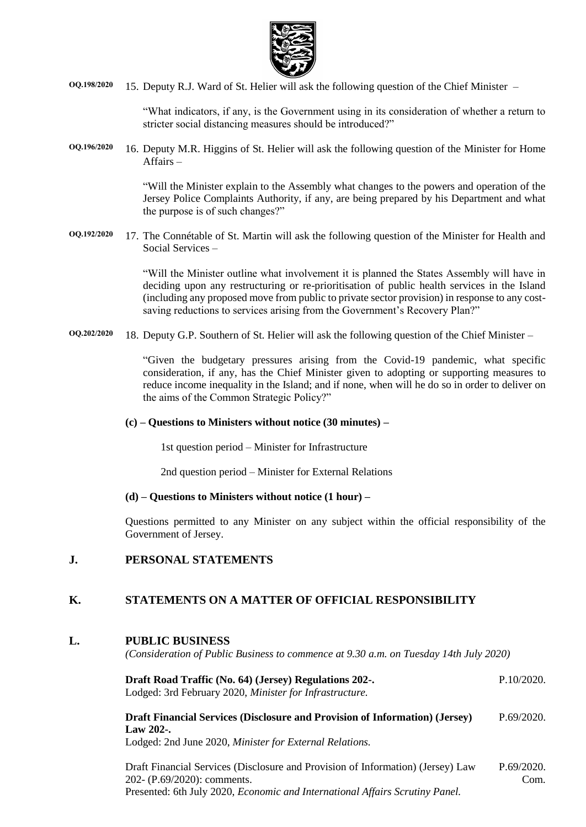

**OQ.198/2020** 15. Deputy R.J. Ward of St. Helier will ask the following question of the Chief Minister –

"What indicators, if any, is the Government using in its consideration of whether a return to stricter social distancing measures should be introduced?"

**OQ.196/2020** 16. Deputy M.R. Higgins of St. Helier will ask the following question of the Minister for Home Affairs –

> "Will the Minister explain to the Assembly what changes to the powers and operation of the Jersey Police Complaints Authority, if any, are being prepared by his Department and what the purpose is of such changes?"

**OQ.192/2020** 17. The Connétable of St. Martin will ask the following question of the Minister for Health and Social Services –

> "Will the Minister outline what involvement it is planned the States Assembly will have in deciding upon any restructuring or re-prioritisation of public health services in the Island (including any proposed move from public to private sector provision) in response to any costsaving reductions to services arising from the Government's Recovery Plan?"

**OQ.202/2020** 18. Deputy G.P. Southern of St. Helier will ask the following question of the Chief Minister –

"Given the budgetary pressures arising from the Covid-19 pandemic, what specific consideration, if any, has the Chief Minister given to adopting or supporting measures to reduce income inequality in the Island; and if none, when will he do so in order to deliver on the aims of the Common Strategic Policy?"

#### **(c) – Questions to Ministers without notice (30 minutes) –**

1st question period – Minister for Infrastructure

2nd question period – Minister for External Relations

#### **(d) – Questions to Ministers without notice (1 hour) –**

Questions permitted to any Minister on any subject within the official responsibility of the Government of Jersey.

### **J. PERSONAL STATEMENTS**

### **K. STATEMENTS ON A MATTER OF OFFICIAL RESPONSIBILITY**

### **L. PUBLIC BUSINESS**

*(Consideration of Public Business to commence at 9.30 a.m. on Tuesday 14th July 2020)*

| Draft Road Traffic (No. 64) (Jersey) Regulations 202-.<br>Lodged: 3rd February 2020, Minister for Infrastructure.                                             |                    |  |  |  |  |
|---------------------------------------------------------------------------------------------------------------------------------------------------------------|--------------------|--|--|--|--|
| <b>Draft Financial Services (Disclosure and Provision of Information) (Jersey)</b><br>Law $202$ -.<br>Lodged: 2nd June 2020, Minister for External Relations. | P.69/2020.         |  |  |  |  |
| Draft Financial Services (Disclosure and Provision of Information) (Jersey) Law<br>202- (P.69/2020): comments.                                                | P.69/2020.<br>Com. |  |  |  |  |

Presented: 6th July 2020, *[Economic and International Affairs Scrutiny Panel.](https://statesassembly.gov.je/AssemblyPropositions/2020/P.69-2020%20%20%20Com.pdf)*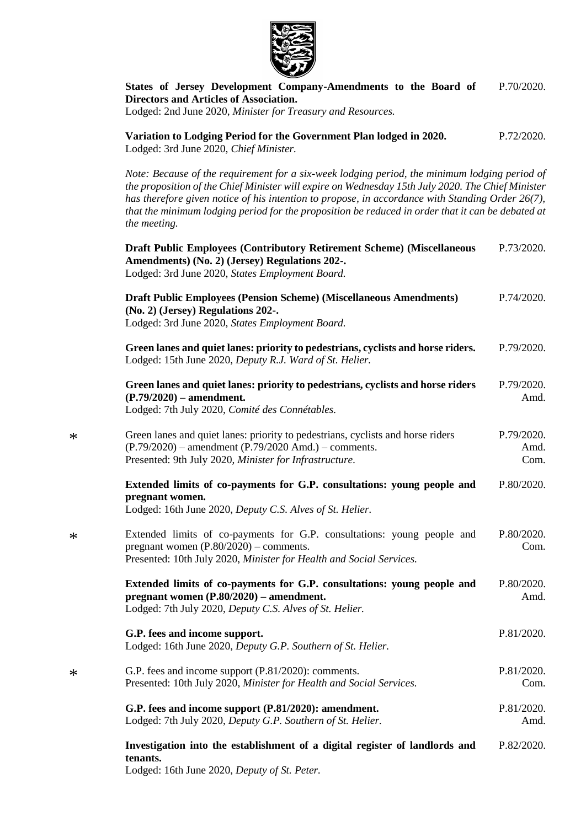

**[States of Jersey Development Company-Amendments to the Board of](https://statesassembly.gov.je/AssemblyPropositions/2020/P.70-2020.pdf)  [Directors and Articles of Association.](https://statesassembly.gov.je/AssemblyPropositions/2020/P.70-2020.pdf)** Lodged: 2nd June 2020, *[Minister for Treasury and Resources.](https://statesassembly.gov.je/AssemblyPropositions/2020/P.70-2020.pdf)* [P.70/2020.](https://statesassembly.gov.je/AssemblyPropositions/2020/P.70-2020.pdf)

**[Variation to Lodging Period for the Government Plan lodged in 2020.](https://statesassembly.gov.je/AssemblyPropositions/2020/P.72-2020.pdf)**  [Lodged: 3rd June 2020,](https://statesassembly.gov.je/AssemblyPropositions/2020/P.72-2020.pdf) *Chief Minister.* [P.72/2020.](https://statesassembly.gov.je/AssemblyPropositions/2020/P.72-2020.pdf)

*Note: Because of the requirement for a six-week lodging period, the minimum lodging period of the proposition of the Chief Minister will expire on Wednesday 15th July 2020. The Chief Minister has therefore given notice of his intention to propose, in accordance with Standing Order 26(7), that the minimum lodging period for the proposition be reduced in order that it can be debated at the meeting.*

| <b>Draft Public Employees (Contributory Retirement Scheme) (Miscellaneous</b><br>Amendments) (No. 2) (Jersey) Regulations 202-.<br>Lodged: 3rd June 2020, States Employment Board.                    | P.73/2020.                 |
|-------------------------------------------------------------------------------------------------------------------------------------------------------------------------------------------------------|----------------------------|
| <b>Draft Public Employees (Pension Scheme) (Miscellaneous Amendments)</b><br>(No. 2) (Jersey) Regulations 202-.<br>Lodged: 3rd June 2020, States Employment Board.                                    | P.74/2020.                 |
| Green lanes and quiet lanes: priority to pedestrians, cyclists and horse riders.<br>Lodged: 15th June 2020, Deputy R.J. Ward of St. Helier.                                                           | P.79/2020.                 |
| Green lanes and quiet lanes: priority to pedestrians, cyclists and horse riders<br>$(P.79/2020)$ – amendment.<br>Lodged: 7th July 2020, Comité des Connétables.                                       | P.79/2020.<br>Amd.         |
| Green lanes and quiet lanes: priority to pedestrians, cyclists and horse riders<br>$(P.79/2020)$ – amendment $(P.79/2020$ Amd.) – comments.<br>Presented: 9th July 2020, Minister for Infrastructure. | P.79/2020.<br>Amd.<br>Com. |
| Extended limits of co-payments for G.P. consultations: young people and<br>pregnant women.<br>Lodged: 16th June 2020, Deputy C.S. Alves of St. Helier.                                                | P.80/2020.                 |
| Extended limits of co-payments for G.P. consultations: young people and<br>pregnant women $(P.80/2020)$ – comments.<br>Presented: 10th July 2020, Minister for Health and Social Services.            | P.80/2020.<br>Com.         |
| Extended limits of co-payments for G.P. consultations: young people and<br>pregnant women $(P.80/2020)$ – amendment.<br>Lodged: 7th July 2020, Deputy C.S. Alves of St. Helier.                       | P.80/2020.<br>Amd.         |
| G.P. fees and income support.<br>Lodged: 16th June 2020, Deputy G.P. Southern of St. Helier.                                                                                                          | P.81/2020.                 |
| G.P. fees and income support (P.81/2020): comments.<br>Presented: 10th July 2020, Minister for Health and Social Services.                                                                            | P.81/2020.<br>Com.         |
| G.P. fees and income support (P.81/2020): amendment.<br>Lodged: 7th July 2020, Deputy G.P. Southern of St. Helier.                                                                                    | P.81/2020.<br>Amd.         |
| Investigation into the establishment of a digital register of landlords and<br>tenants.<br>Lodged: 16th June 2020, Deputy of St. Peter.                                                               | P.82/2020.                 |

\*

\*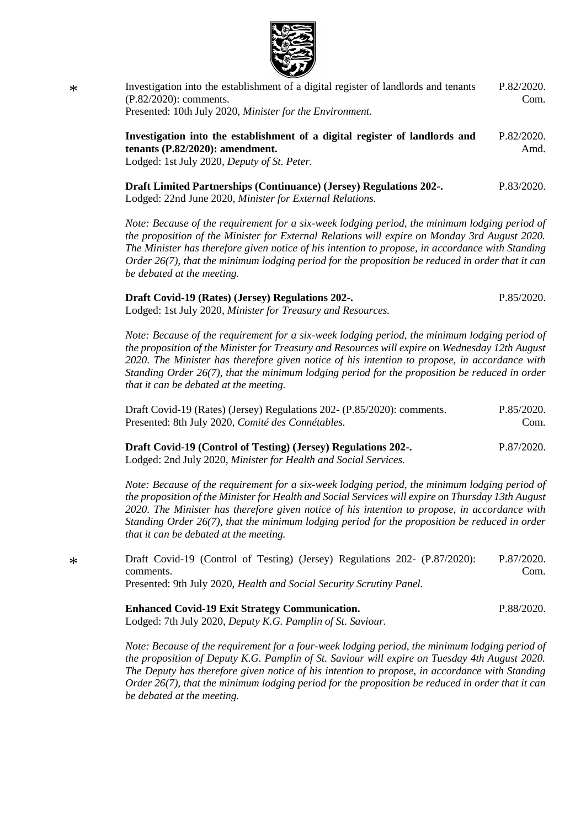

| Investigation into the establishment of a digital register of landlords and tenants<br>$(P.82/2020)$ : comments.                                                                                                                                                                                   |                    |  |  |  |  |
|----------------------------------------------------------------------------------------------------------------------------------------------------------------------------------------------------------------------------------------------------------------------------------------------------|--------------------|--|--|--|--|
| Presented: 10th July 2020, Minister for the Environment.                                                                                                                                                                                                                                           |                    |  |  |  |  |
| Investigation into the establishment of a digital register of landlords and<br>tenants $(P.82/2020)$ : amendment.<br>Lodged: 1st July 2020, Deputy of St. Peter.                                                                                                                                   | P.82/2020.<br>Amd. |  |  |  |  |
| <b>Draft Limited Partnerships (Continuance) (Jersey) Regulations 202-.</b><br>Lodged: 22nd June 2020, Minister for External Relations.                                                                                                                                                             | P.83/2020.         |  |  |  |  |
| Note: Because of the requirement for a six-week lodging period, the minimum lodging period of<br>the proposition of the Minister for External Relations will expire on Monday 3rd August 2020.<br>The Minister has therefore given notice of his intention to propose, in accordance with Standing |                    |  |  |  |  |

*The Minister has therefore given notice of his intention to propose, in accordance with Standing Order 26(7), that the minimum lodging period for the proposition be reduced in order that it can be debated at the meeting.*

| Draft Covid-19 (Rates) (Jersey) Regulations 202-.           | P.85/2020. |
|-------------------------------------------------------------|------------|
| Lodged: 1st July 2020, Minister for Treasury and Resources. |            |

*Note: Because of the requirement for a six-week lodging period, the minimum lodging period of the proposition of the Minister for Treasury and Resources will expire on Wednesday 12th August 2020. The Minister has therefore given notice of his intention to propose, in accordance with Standing Order 26(7), that the minimum lodging period for the proposition be reduced in order that it can be debated at the meeting.*

[Draft Covid-19 \(Rates\) \(Jersey\) Regulations 202-](https://statesassembly.gov.je/AssemblyPropositions/2020/P.85-2020Com.pdf) (P.85/2020): comments. [Presented: 8th July 2020,](https://statesassembly.gov.je/AssemblyPropositions/2020/P.85-2020Com.pdf) *Comité des Connétables.* [P.85/2020.](https://statesassembly.gov.je/AssemblyPropositions/2020/P.85-2020Com.pdf) [Com.](https://statesassembly.gov.je/AssemblyPropositions/2020/P.85-2020Com.pdf)

**[Draft Covid-19 \(Control of Testing\) \(Jersey\) Regulations 202-.](https://statesassembly.gov.je/AssemblyPropositions/2020/P.87-2020.pdf)** Lodged: 2nd July 2020, *[Minister for Health and Social Services.](https://statesassembly.gov.je/AssemblyPropositions/2020/P.87-2020.pdf)* [P.87/2020.](https://statesassembly.gov.je/AssemblyPropositions/2020/P.87-2020.pdf)

*Note: Because of the requirement for a six-week lodging period, the minimum lodging period of the proposition of the Minister for Health and Social Services will expire on Thursday 13th August 2020. The Minister has therefore given notice of his intention to propose, in accordance with Standing Order 26(7), that the minimum lodging period for the proposition be reduced in order that it can be debated at the meeting.*

[Draft Covid-19 \(Control of Testing\) \(Jersey\) Regulations 202-](https://statesassembly.gov.je/AssemblyPropositions/2020/P.87-2020%20Com.pdf) (P.87/2020): [comments.](https://statesassembly.gov.je/AssemblyPropositions/2020/P.87-2020%20Com.pdf) Presented: 9th July 2020, *[Health and Social Security Scrutiny Panel.](https://statesassembly.gov.je/AssemblyPropositions/2020/P.87-2020%20Com.pdf)* [P.87/2020.](https://statesassembly.gov.je/AssemblyPropositions/2020/P.87-2020%20Com.pdf) [Com.](https://statesassembly.gov.je/AssemblyPropositions/2020/P.87-2020%20Com.pdf)

|  |  |  | <b>Enhanced Covid-19 Exit Strategy Communication.</b> |  |  |  |  | P.88/2020. |
|--|--|--|-------------------------------------------------------|--|--|--|--|------------|
|  |  |  |                                                       |  |  |  |  |            |

Lodged: 7th July 2020, *[Deputy K.G. Pamplin of St. Saviour.](https://statesassembly.gov.je/AssemblyPropositions/2020/P.88-2020.pdf)*

*Note: Because of the requirement for a four-week lodging period, the minimum lodging period of the proposition of Deputy K.G. Pamplin of St. Saviour will expire on Tuesday 4th August 2020. The Deputy has therefore given notice of his intention to propose, in accordance with Standing Order 26(7), that the minimum lodging period for the proposition be reduced in order that it can be debated at the meeting.*

\*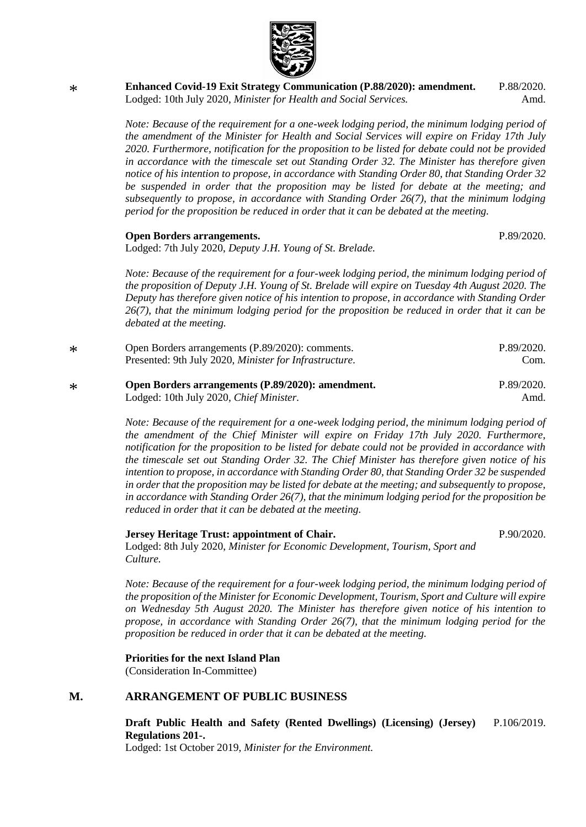

**[Enhanced Covid-19 Exit Strategy Communication \(P.88/2020\): amendment.](https://statesassembly.gov.je/AssemblyPropositions/2020/P.88-2020Amd.pdf)** Lodged: 10th July 2020, *[Minister for Health and Social Services.](https://statesassembly.gov.je/AssemblyPropositions/2020/P.88-2020Amd.pdf)* [P.88/2020.](https://statesassembly.gov.je/AssemblyPropositions/2020/P.88-2020Amd.pdf) [Amd.](https://statesassembly.gov.je/AssemblyPropositions/2020/P.88-2020Amd.pdf)

*Note: Because of the requirement for a one-week lodging period, the minimum lodging period of the amendment of the Minister for Health and Social Services will expire on Friday 17th July 2020. Furthermore, notification for the proposition to be listed for debate could not be provided in accordance with the timescale set out Standing Order 32. The Minister has therefore given notice of his intention to propose, in accordance with Standing Order 80, that Standing Order 32 be suspended in order that the proposition may be listed for debate at the meeting; and subsequently to propose, in accordance with Standing Order 26(7), that the minimum lodging period for the proposition be reduced in order that it can be debated at the meeting.*

#### **[Open Borders arrangements.](https://statesassembly.gov.je/AssemblyPropositions/2020/P.89-2020.pdf)**

\*

[P.89/2020.](https://statesassembly.gov.je/AssemblyPropositions/2020/P.89-2020.pdf)

Lodged: 7th July 2020, *[Deputy J.H. Young of St.](https://statesassembly.gov.je/AssemblyPropositions/2020/P.89-2020.pdf) Brelade.*

*Note: Because of the requirement for a four-week lodging period, the minimum lodging period of the proposition of Deputy J.H. Young of St. Brelade will expire on Tuesday 4th August 2020. The Deputy has therefore given notice of his intention to propose, in accordance with Standing Order 26(7), that the minimum lodging period for the proposition be reduced in order that it can be debated at the meeting.*

| $\ast$ | Open Borders arrangements (P.89/2020): comments.               | P.89/2020. |
|--------|----------------------------------------------------------------|------------|
|        | Presented: 9th July 2020, <i>Minister for Infrastructure</i> . | Com.       |
| $\ast$ | Open Borders arrangements (P.89/2020): amendment.              | P.89/2020. |
|        | Lodged: 10th July 2020, Chief Minister.                        | Amd.       |

*Note: Because of the requirement for a one-week lodging period, the minimum lodging period of the amendment of the Chief Minister will expire on Friday 17th July 2020. Furthermore, notification for the proposition to be listed for debate could not be provided in accordance with the timescale set out Standing Order 32. The Chief Minister has therefore given notice of his intention to propose, in accordance with Standing Order 80, that Standing Order 32 be suspended in order that the proposition may be listed for debate at the meeting; and subsequently to propose, in accordance with Standing Order 26(7), that the minimum lodging period for the proposition be reduced in order that it can be debated at the meeting.*

#### **Jersey Heritage Trust: appointment of Chair.**

P.90/2020.

Lodged: 8th July 2020, *Minister for Economic Development, Tourism, Sport and Culture.*

*Note: Because of the requirement for a four-week lodging period, the minimum lodging period of the proposition of the Minister for Economic Development, Tourism, Sport and Culture will expire on Wednesday 5th August 2020. The Minister has therefore given notice of his intention to propose, in accordance with Standing Order 26(7), that the minimum lodging period for the proposition be reduced in order that it can be debated at the meeting.*

#### **Priorities for the next Island Plan**

(Consideration In-Committee)

#### **M. ARRANGEMENT OF PUBLIC BUSINESS**

**[Draft Public Health and Safety \(Rented Dwellings\) \(Licensing\) \(Jersey\)](https://statesassembly.gov.je/assemblypropositions/2019/p.106-2019.pdf)  [Regulations 201-.](https://statesassembly.gov.je/assemblypropositions/2019/p.106-2019.pdf)** [P.106/2019.](https://statesassembly.gov.je/assemblypropositions/2019/p.106-2019.pdf)

Lodged: 1st October 2019, *[Minister for the Environment.](https://statesassembly.gov.je/assemblypropositions/2019/p.106-2019.pdf)*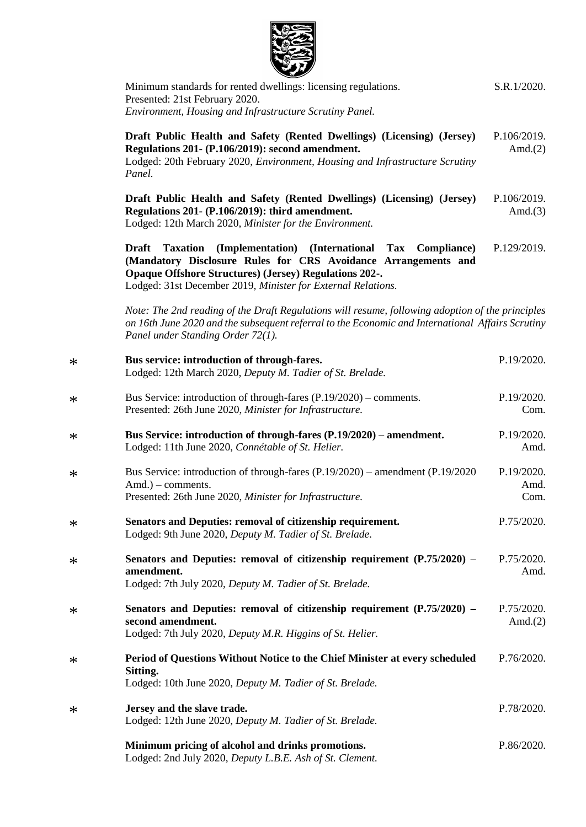

| Minimum standards for rented dwellings: licensing regulations.<br>Presented: 21st February 2020.<br>Environment, Housing and Infrastructure Scrutiny Panel.                                                                                                                              | S.R.1/2020.                |
|------------------------------------------------------------------------------------------------------------------------------------------------------------------------------------------------------------------------------------------------------------------------------------------|----------------------------|
| Draft Public Health and Safety (Rented Dwellings) (Licensing) (Jersey)<br>Regulations 201- (P.106/2019): second amendment.<br>Lodged: 20th February 2020, Environment, Housing and Infrastructure Scrutiny<br>Panel.                                                                     | P.106/2019.<br>Amd. $(2)$  |
| Draft Public Health and Safety (Rented Dwellings) (Licensing) (Jersey)<br>Regulations 201- (P.106/2019): third amendment.<br>Lodged: 12th March 2020, Minister for the Environment.                                                                                                      | P.106/2019.<br>Amd. $(3)$  |
| <b>Draft</b><br>(Implementation) (International Tax<br><b>Taxation</b><br>Compliance)<br>(Mandatory Disclosure Rules for CRS Avoidance Arrangements and<br><b>Opaque Offshore Structures) (Jersey) Regulations 202-.</b><br>Lodged: 31st December 2019, Minister for External Relations. | P.129/2019.                |
| Note: The 2nd reading of the Draft Regulations will resume, following adoption of the principles<br>on 16th June 2020 and the subsequent referral to the Economic and International Affairs Scrutiny<br>Panel under Standing Order 72(1).                                                |                            |
| Bus service: introduction of through-fares.<br>Lodged: 12th March 2020, Deputy M. Tadier of St. Brelade.                                                                                                                                                                                 | P.19/2020.                 |
| Bus Service: introduction of through-fares $(P.19/2020)$ – comments.<br>Presented: 26th June 2020, Minister for Infrastructure.                                                                                                                                                          | P.19/2020.<br>Com.         |
| Bus Service: introduction of through-fares (P.19/2020) – amendment.<br>Lodged: 11th June 2020, Connétable of St. Helier.                                                                                                                                                                 | P.19/2020.<br>Amd.         |
| Bus Service: introduction of through-fares (P.19/2020) – amendment (P.19/2020)<br>Amd.) – comments.<br>Presented: 26th June 2020, Minister for Infrastructure.                                                                                                                           | P.19/2020.<br>Amd.<br>Com. |
| Senators and Deputies: removal of citizenship requirement.<br>Lodged: 9th June 2020, Deputy M. Tadier of St. Brelade.                                                                                                                                                                    | P.75/2020.                 |
| Senators and Deputies: removal of citizenship requirement $(P.75/2020)$ –<br>amendment.<br>Lodged: 7th July 2020, Deputy M. Tadier of St. Brelade.                                                                                                                                       | P.75/2020.<br>Amd.         |
| Senators and Deputies: removal of citizenship requirement $(P.75/2020)$ –<br>second amendment.                                                                                                                                                                                           | P.75/2020.<br>Amd. $(2)$   |
| Lodged: 7th July 2020, Deputy M.R. Higgins of St. Helier.                                                                                                                                                                                                                                |                            |
| Period of Questions Without Notice to the Chief Minister at every scheduled<br>Sitting.<br>Lodged: 10th June 2020, Deputy M. Tadier of St. Brelade.                                                                                                                                      | P.76/2020.                 |
| Jersey and the slave trade.                                                                                                                                                                                                                                                              | P.78/2020.                 |
| Lodged: 12th June 2020, Deputy M. Tadier of St. Brelade.                                                                                                                                                                                                                                 |                            |
| Minimum pricing of alcohol and drinks promotions.<br>Lodged: 2nd July 2020, Deputy L.B.E. Ash of St. Clement.                                                                                                                                                                            | P.86/2020.                 |

\*

\*

\*

\*

\*

\*

\*

\*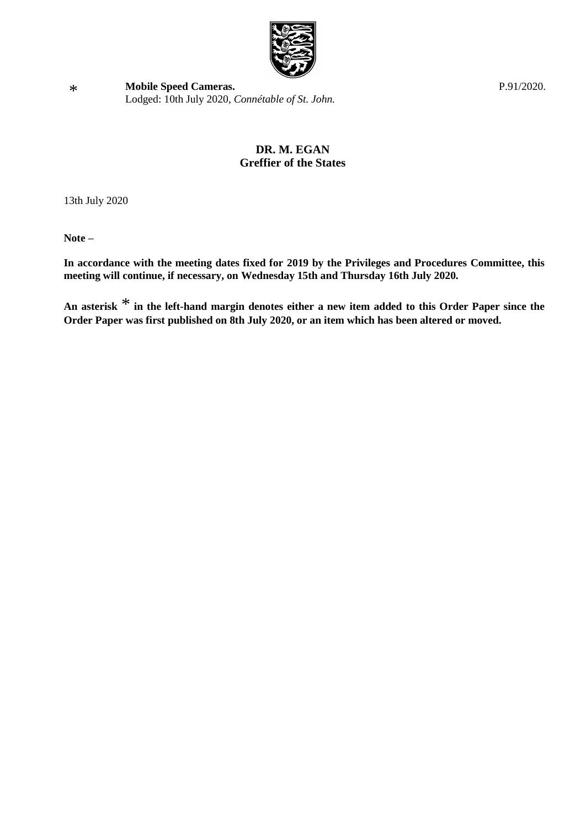

**[Mobile Speed](https://statesassembly.gov.je/AssemblyPropositions/2020/P.91-2020.pdf) Cameras.** [Lodged: 10th July 2020,](https://statesassembly.gov.je/AssemblyPropositions/2020/P.91-2020.pdf) *Connétable of St. John.* [P.91/2020.](https://statesassembly.gov.je/AssemblyPropositions/2020/P.91-2020.pdf)

### **DR. M. EGAN Greffier of the States**

13th July 2020

**Note –**

**In accordance with the meeting dates fixed for 2019 by the Privileges and Procedures Committee, this meeting will continue, if necessary, on Wednesday 15th and Thursday 16th July 2020.**

**An asterisk** \* **in the left-hand margin denotes either a new item added to this Order Paper since the Order Paper was first published on 8th July 2020, or an item which has been altered or moved.**